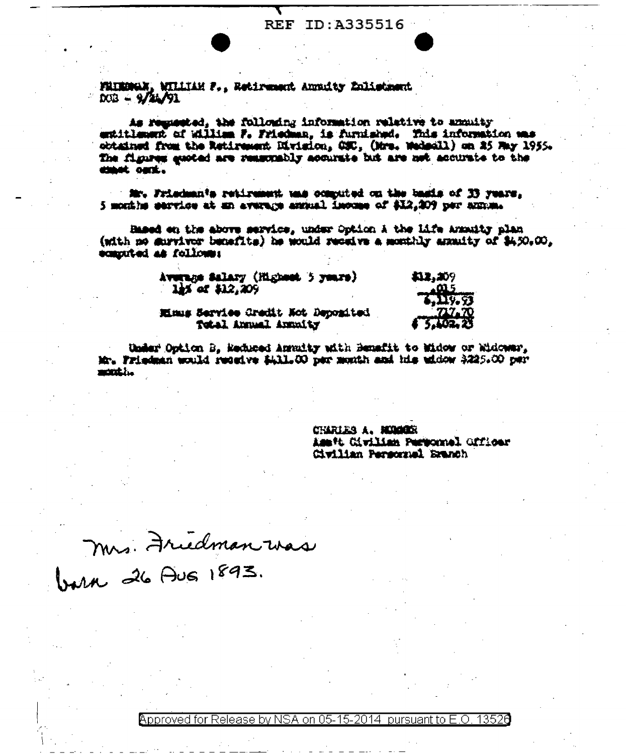## REF ID:A335516

FRIEDWAY, WILLIAM F., Retirement Augusty Enlistment  $000 - 9/44/91$ 

As regassied, the following information relative to annuity entitlement of William F. Friedman, is furnished. This information was obtained from the Retirement Division, CSC, (Mrs. Wedsell) on 25 May 1955. The figures gaoted are reasonably acourate but are not accurate to the chach outl.

Mr. Friedman's retirement was computed on the basis of IS years. 5 months service at an average annual income of \$12,209 per annual

Based on the above service, under Option A the Life Awanity plan (with no survivor benefits) he would receive a monthly armity of \$450.00. ecanouted as follows:

> Average Salary (Highest 5 years)  $1.5$  of  $$12,209$

**111.209** 

Minus Service Gredit Not Depomited Total Annual Annuity

Under Option B. Meduced Annuity with Benefit to Widow or Widowar, Mr. Friedman would receive \$431.00 per month and his widow \$225.00 per manakha.

> CHARLES A. MODOR Ass't Civilian Personnel Officer Civilian Personnel Branch

Mrs. Friedman was

Approved for Release by NSA on 05-15-2014 pursuant to E.O. 13526